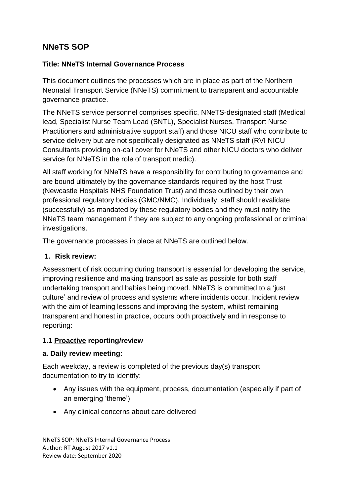# **NNeTS SOP**

## **Title: NNeTS Internal Governance Process**

This document outlines the processes which are in place as part of the Northern Neonatal Transport Service (NNeTS) commitment to transparent and accountable governance practice.

The NNeTS service personnel comprises specific, NNeTS-designated staff (Medical lead, Specialist Nurse Team Lead (SNTL), Specialist Nurses, Transport Nurse Practitioners and administrative support staff) and those NICU staff who contribute to service delivery but are not specifically designated as NNeTS staff (RVI NICU Consultants providing on-call cover for NNeTS and other NICU doctors who deliver service for NNeTS in the role of transport medic).

All staff working for NNeTS have a responsibility for contributing to governance and are bound ultimately by the governance standards required by the host Trust (Newcastle Hospitals NHS Foundation Trust) and those outlined by their own professional regulatory bodies (GMC/NMC). Individually, staff should revalidate (successfully) as mandated by these regulatory bodies and they must notify the NNeTS team management if they are subject to any ongoing professional or criminal investigations.

The governance processes in place at NNeTS are outlined below.

## **1. Risk review:**

Assessment of risk occurring during transport is essential for developing the service, improving resilience and making transport as safe as possible for both staff undertaking transport and babies being moved. NNeTS is committed to a 'just culture' and review of process and systems where incidents occur. Incident review with the aim of learning lessons and improving the system, whilst remaining transparent and honest in practice, occurs both proactively and in response to reporting:

# **1.1 Proactive reporting/review**

## **a. Daily review meeting:**

Each weekday, a review is completed of the previous day(s) transport documentation to try to identify:

- Any issues with the equipment, process, documentation (especially if part of an emerging 'theme')
- Any clinical concerns about care delivered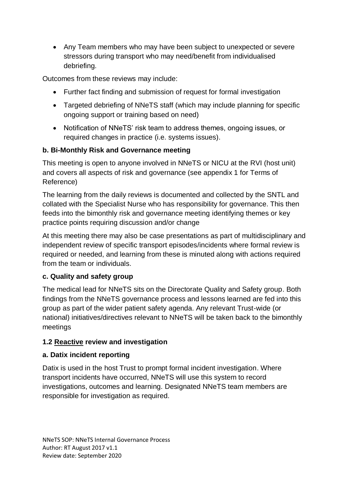Any Team members who may have been subject to unexpected or severe stressors during transport who may need/benefit from individualised debriefing.

Outcomes from these reviews may include:

- Further fact finding and submission of request for formal investigation
- Targeted debriefing of NNeTS staff (which may include planning for specific ongoing support or training based on need)
- Notification of NNeTS' risk team to address themes, ongoing issues, or required changes in practice (i.e. systems issues).

# **b. Bi-Monthly Risk and Governance meeting**

This meeting is open to anyone involved in NNeTS or NICU at the RVI (host unit) and covers all aspects of risk and governance (see appendix 1 for Terms of Reference)

The learning from the daily reviews is documented and collected by the SNTL and collated with the Specialist Nurse who has responsibility for governance. This then feeds into the bimonthly risk and governance meeting identifying themes or key practice points requiring discussion and/or change

At this meeting there may also be case presentations as part of multidisciplinary and independent review of specific transport episodes/incidents where formal review is required or needed, and learning from these is minuted along with actions required from the team or individuals.

## **c. Quality and safety group**

The medical lead for NNeTS sits on the Directorate Quality and Safety group. Both findings from the NNeTS governance process and lessons learned are fed into this group as part of the wider patient safety agenda. Any relevant Trust-wide (or national) initiatives/directives relevant to NNeTS will be taken back to the bimonthly meetings

# **1.2 Reactive review and investigation**

# **a. Datix incident reporting**

Datix is used in the host Trust to prompt formal incident investigation. Where transport incidents have occurred, NNeTS will use this system to record investigations, outcomes and learning. Designated NNeTS team members are responsible for investigation as required.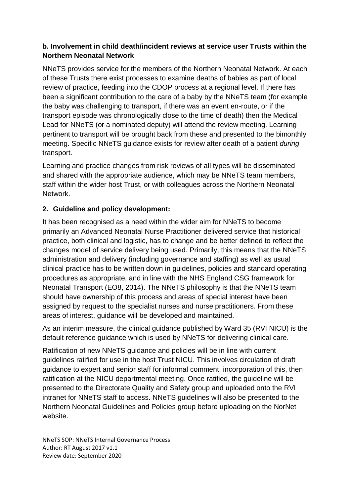# **b. Involvement in child death/incident reviews at service user Trusts within the Northern Neonatal Network**

NNeTS provides service for the members of the Northern Neonatal Network. At each of these Trusts there exist processes to examine deaths of babies as part of local review of practice, feeding into the CDOP process at a regional level. If there has been a significant contribution to the care of a baby by the NNeTS team (for example the baby was challenging to transport, if there was an event en-route, or if the transport episode was chronologically close to the time of death) then the Medical Lead for NNeTS (or a nominated deputy) will attend the review meeting. Learning pertinent to transport will be brought back from these and presented to the bimonthly meeting. Specific NNeTS guidance exists for review after death of a patient *during* transport.

Learning and practice changes from risk reviews of all types will be disseminated and shared with the appropriate audience, which may be NNeTS team members, staff within the wider host Trust, or with colleagues across the Northern Neonatal Network.

# **2. Guideline and policy development:**

It has been recognised as a need within the wider aim for NNeTS to become primarily an Advanced Neonatal Nurse Practitioner delivered service that historical practice, both clinical and logistic, has to change and be better defined to reflect the changes model of service delivery being used. Primarily, this means that the NNeTS administration and delivery (including governance and staffing) as well as usual clinical practice has to be written down in guidelines, policies and standard operating procedures as appropriate, and in line with the NHS England CSG framework for Neonatal Transport (EO8, 2014). The NNeTS philosophy is that the NNeTS team should have ownership of this process and areas of special interest have been assigned by request to the specialist nurses and nurse practitioners. From these areas of interest, guidance will be developed and maintained.

As an interim measure, the clinical guidance published by Ward 35 (RVI NICU) is the default reference guidance which is used by NNeTS for delivering clinical care.

Ratification of new NNeTS guidance and policies will be in line with current guidelines ratified for use in the host Trust NICU. This involves circulation of draft guidance to expert and senior staff for informal comment, incorporation of this, then ratification at the NICU departmental meeting. Once ratified, the guideline will be presented to the Directorate Quality and Safety group and uploaded onto the RVI intranet for NNeTS staff to access. NNeTS guidelines will also be presented to the Northern Neonatal Guidelines and Policies group before uploading on the NorNet website.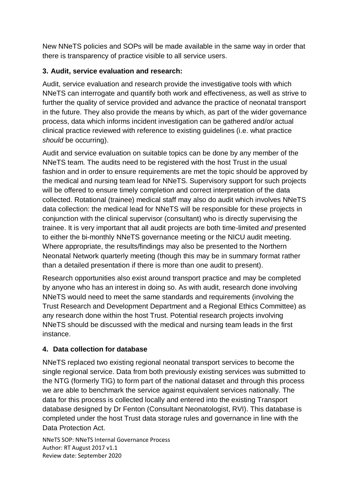New NNeTS policies and SOPs will be made available in the same way in order that there is transparency of practice visible to all service users.

# **3. Audit, service evaluation and research:**

Audit, service evaluation and research provide the investigative tools with which NNeTS can interrogate and quantify both work and effectiveness, as well as strive to further the quality of service provided and advance the practice of neonatal transport in the future. They also provide the means by which, as part of the wider governance process, data which informs incident investigation can be gathered and/or actual clinical practice reviewed with reference to existing guidelines (i.e. what practice *should* be occurring).

Audit and service evaluation on suitable topics can be done by any member of the NNeTS team. The audits need to be registered with the host Trust in the usual fashion and in order to ensure requirements are met the topic should be approved by the medical and nursing team lead for NNeTS. Supervisory support for such projects will be offered to ensure timely completion and correct interpretation of the data collected. Rotational (trainee) medical staff may also do audit which involves NNeTS data collection: the medical lead for NNeTS will be responsible for these projects in conjunction with the clinical supervisor (consultant) who is directly supervising the trainee. It is very important that all audit projects are both time-limited *and* presented to either the bi-monthly NNeTS governance meeting or the NICU audit meeting. Where appropriate, the results/findings may also be presented to the Northern Neonatal Network quarterly meeting (though this may be in summary format rather than a detailed presentation if there is more than one audit to present).

Research opportunities also exist around transport practice and may be completed by anyone who has an interest in doing so. As with audit, research done involving NNeTS would need to meet the same standards and requirements (involving the Trust Research and Development Department and a Regional Ethics Committee) as any research done within the host Trust. Potential research projects involving NNeTS should be discussed with the medical and nursing team leads in the first instance.

# **4. Data collection for database**

NNeTS replaced two existing regional neonatal transport services to become the single regional service. Data from both previously existing services was submitted to the NTG (formerly TIG) to form part of the national dataset and through this process we are able to benchmark the service against equivalent services nationally. The data for this process is collected locally and entered into the existing Transport database designed by Dr Fenton (Consultant Neonatologist, RVI). This database is completed under the host Trust data storage rules and governance in line with the Data Protection Act.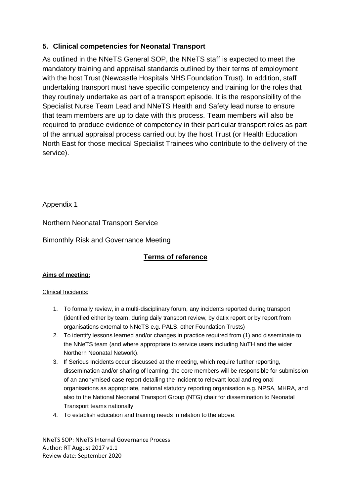## **5. Clinical competencies for Neonatal Transport**

As outlined in the NNeTS General SOP, the NNeTS staff is expected to meet the mandatory training and appraisal standards outlined by their terms of employment with the host Trust (Newcastle Hospitals NHS Foundation Trust). In addition, staff undertaking transport must have specific competency and training for the roles that they routinely undertake as part of a transport episode. It is the responsibility of the Specialist Nurse Team Lead and NNeTS Health and Safety lead nurse to ensure that team members are up to date with this process. Team members will also be required to produce evidence of competency in their particular transport roles as part of the annual appraisal process carried out by the host Trust (or Health Education North East for those medical Specialist Trainees who contribute to the delivery of the service).

### Appendix 1

Northern Neonatal Transport Service

Bimonthly Risk and Governance Meeting

# **Terms of reference**

### **Aims of meeting:**

### Clinical Incidents:

- 1. To formally review, in a multi-disciplinary forum, any incidents reported during transport (identified either by team, during daily transport review, by datix report or by report from organisations external to NNeTS e.g. PALS, other Foundation Trusts)
- 2. To identify lessons learned and/or changes in practice required from (1) and disseminate to the NNeTS team (and where appropriate to service users including NuTH and the wider Northern Neonatal Network).
- 3. If Serious Incidents occur discussed at the meeting, which require further reporting, dissemination and/or sharing of learning, the core members will be responsible for submission of an anonymised case report detailing the incident to relevant local and regional organisations as appropriate, national statutory reporting organisation e.g. NPSA, MHRA, and also to the National Neonatal Transport Group (NTG) chair for dissemination to Neonatal Transport teams nationally
- 4. To establish education and training needs in relation to the above.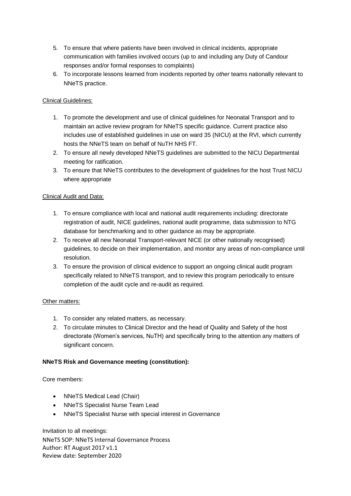- 5. To ensure that where patients have been involved in clinical incidents, appropriate communication with families involved occurs (up to and including any Duty of Candour responses and/or formal responses to complaints)
- 6. To incorporate lessons learned from incidents reported by *other* teams nationally relevant to NNeTS practice.

### Clinical Guidelines:

- 1. To promote the development and use of clinical guidelines for Neonatal Transport and to maintain an active review program for NNeTS specific guidance. Current practice also includes use of established guidelines in use on ward 35 (NICU) at the RVI, which currently hosts the NNeTS team on behalf of NuTH NHS FT.
- 2. To ensure all newly developed NNeTS guidelines are submitted to the NICU Departmental meeting for ratification.
- 3. To ensure that NNeTS contributes to the development of guidelines for the host Trust NICU where appropriate

### Clinical Audit and Data:

- 1. To ensure compliance with local and national audit requirements including: directorate registration of audit, NICE guidelines, national audit programme, data submission to NTG database for benchmarking and to other guidance as may be appropriate.
- 2. To receive all new Neonatal Transport-relevant NICE (or other nationally recognised) guidelines, to decide on their implementation, and monitor any areas of non-compliance until resolution.
- 3. To ensure the provision of clinical evidence to support an ongoing clinical audit program specifically related to NNeTS transport, and to review this program periodically to ensure completion of the audit cycle and re-audit as required.

#### Other matters:

- 1. To consider any related matters, as necessary.
- 2. To circulate minutes to Clinical Director and the head of Quality and Safety of the host directorate (Women's services, NuTH) and specifically bring to the attention any matters of significant concern.

#### **NNeTS Risk and Governance meeting (constitution):**

Core members:

- NNeTS Medical Lead (Chair)
- NNeTS Specialist Nurse Team Lead
- NNeTS Specialist Nurse with special interest in Governance

NNeTS SOP: NNeTS Internal Governance Process Author: RT August 2017 v1.1 Review date: September 2020 Invitation to all meetings: